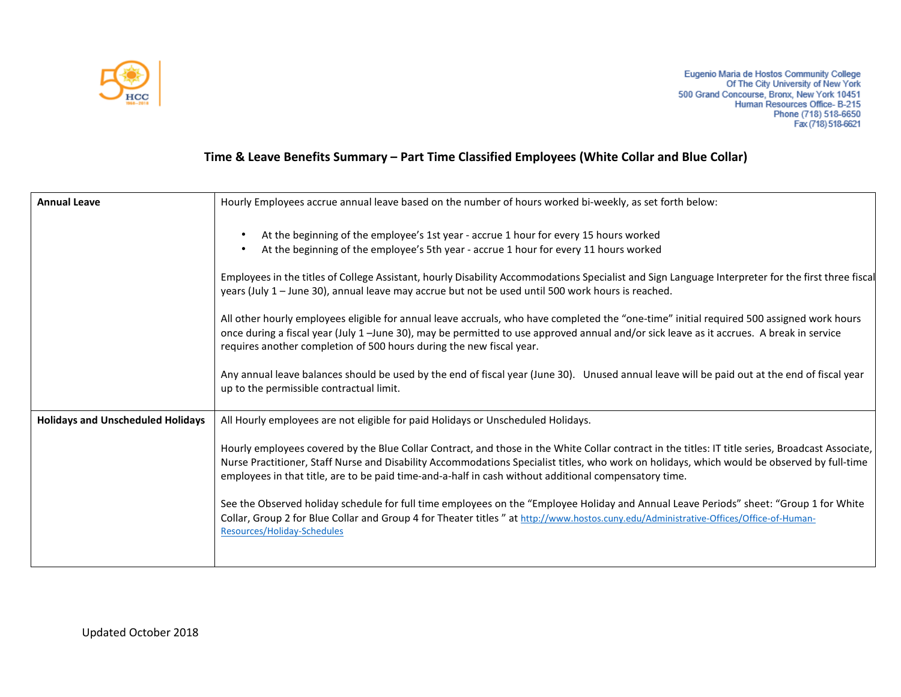

## **Time & Leave Benefits Summary – Part Time Classified Employees (White Collar and Blue Collar)**

| <b>Annual Leave</b>                      | Hourly Employees accrue annual leave based on the number of hours worked bi-weekly, as set forth below:                                                                                                                                                                                                                                                                                                   |
|------------------------------------------|-----------------------------------------------------------------------------------------------------------------------------------------------------------------------------------------------------------------------------------------------------------------------------------------------------------------------------------------------------------------------------------------------------------|
|                                          | At the beginning of the employee's 1st year - accrue 1 hour for every 15 hours worked<br>At the beginning of the employee's 5th year - accrue 1 hour for every 11 hours worked                                                                                                                                                                                                                            |
|                                          | Employees in the titles of College Assistant, hourly Disability Accommodations Specialist and Sign Language Interpreter for the first three fiscal<br>years (July 1 - June 30), annual leave may accrue but not be used until 500 work hours is reached.                                                                                                                                                  |
|                                          | All other hourly employees eligible for annual leave accruals, who have completed the "one-time" initial required 500 assigned work hours<br>once during a fiscal year (July 1 -June 30), may be permitted to use approved annual and/or sick leave as it accrues. A break in service<br>requires another completion of 500 hours during the new fiscal year.                                             |
|                                          | Any annual leave balances should be used by the end of fiscal year (June 30). Unused annual leave will be paid out at the end of fiscal year<br>up to the permissible contractual limit.                                                                                                                                                                                                                  |
| <b>Holidays and Unscheduled Holidays</b> | All Hourly employees are not eligible for paid Holidays or Unscheduled Holidays.                                                                                                                                                                                                                                                                                                                          |
|                                          | Hourly employees covered by the Blue Collar Contract, and those in the White Collar contract in the titles: IT title series, Broadcast Associate,<br>Nurse Practitioner, Staff Nurse and Disability Accommodations Specialist titles, who work on holidays, which would be observed by full-time<br>employees in that title, are to be paid time-and-a-half in cash without additional compensatory time. |
|                                          | See the Observed holiday schedule for full time employees on the "Employee Holiday and Annual Leave Periods" sheet: "Group 1 for White<br>Collar, Group 2 for Blue Collar and Group 4 for Theater titles " at http://www.hostos.cuny.edu/Administrative-Offices/Office-of-Human-<br>Resources/Holiday-Schedules                                                                                           |
|                                          |                                                                                                                                                                                                                                                                                                                                                                                                           |